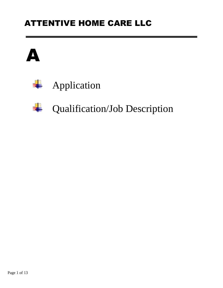## ATTENTIVE HOME CARE LLC





# **Qualification/Job Description**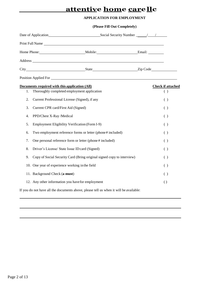### **attentive home carellc**

#### **APPLICATION FOR EMPLOYMENT**

|    | Print Full Name                                                                               |  |                                 |
|----|-----------------------------------------------------------------------------------------------|--|---------------------------------|
|    |                                                                                               |  |                                 |
|    |                                                                                               |  |                                 |
|    |                                                                                               |  |                                 |
|    |                                                                                               |  |                                 |
| 1. | Documents required with this application (All)<br>Thoroughly completed employment application |  | <b>Check if attached</b><br>( ) |
| 2. | Current Professional License (Signed), if any                                                 |  | ( )                             |
| 3. | Current CPR card/First Aid (Signed)                                                           |  | ( )                             |
| 4. | PPD/Chest X-Ray /Medical                                                                      |  | ( )                             |
| 5. | Employment Eligibility Verification (Form I-9)                                                |  | ( )                             |
| 6. | Two employment reference forms or letter (phone#included)                                     |  | ( )                             |
| 7. | One personal reference form or letter (phone # included)                                      |  | ( )                             |
| 8. | Driver's License/ State Issue ID card (Signed)                                                |  | ( )                             |
| 9. | Copy of Social Security Card (Bring original signed copy to interview)                        |  | ( )                             |
|    | 10. One year of experience working in the field                                               |  | ( )                             |
|    | 11. Background Check (a must)                                                                 |  | ( )                             |
|    | 12. Any other information you have for employment                                             |  | $\left( \right)$                |

If you do not have all the documents above, please tell us when it will be available: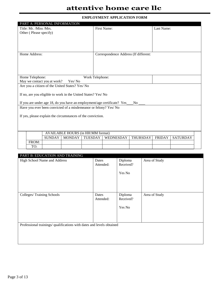### **attentive home care llc**

#### **EMPLOYMENT APPLICATION FORM**

| PART A: PERSONAL INFORMATION                                                                                                                         |                                          |               |                 |                                       |                 |               |                 |
|------------------------------------------------------------------------------------------------------------------------------------------------------|------------------------------------------|---------------|-----------------|---------------------------------------|-----------------|---------------|-----------------|
| Title: Mr. /Miss /Mrs.                                                                                                                               |                                          |               |                 | First Name:                           |                 | Last Name:    |                 |
| Other (Please specify)                                                                                                                               |                                          |               |                 |                                       |                 |               |                 |
|                                                                                                                                                      |                                          |               |                 |                                       |                 |               |                 |
|                                                                                                                                                      |                                          |               |                 |                                       |                 |               |                 |
|                                                                                                                                                      |                                          |               |                 |                                       |                 |               |                 |
| Home Address:                                                                                                                                        |                                          |               |                 |                                       |                 |               |                 |
|                                                                                                                                                      |                                          |               |                 | Correspondence Address (If different: |                 |               |                 |
|                                                                                                                                                      |                                          |               |                 |                                       |                 |               |                 |
|                                                                                                                                                      |                                          |               |                 |                                       |                 |               |                 |
|                                                                                                                                                      |                                          |               |                 |                                       |                 |               |                 |
| Home Telephone:                                                                                                                                      |                                          |               | Work Telephone: |                                       |                 |               |                 |
| May we contact you at work?                                                                                                                          |                                          | Yes/No        |                 |                                       |                 |               |                 |
| Are you a citizen of the United States? Yes/ No                                                                                                      |                                          |               |                 |                                       |                 |               |                 |
|                                                                                                                                                      |                                          |               |                 |                                       |                 |               |                 |
| If no, are you eligible to work in the United States? Yes/ No                                                                                        |                                          |               |                 |                                       |                 |               |                 |
|                                                                                                                                                      |                                          |               |                 |                                       |                 |               |                 |
| If you are under age 18, do you have an employment/age certificate? Yes ___ No _<br>Have you ever been convicted of a misdemeanor or felony? Yes/ No |                                          |               |                 |                                       |                 |               |                 |
|                                                                                                                                                      |                                          |               |                 |                                       |                 |               |                 |
| If yes, please explain the circumstances of the conviction.                                                                                          |                                          |               |                 |                                       |                 |               |                 |
|                                                                                                                                                      |                                          |               |                 |                                       |                 |               |                 |
|                                                                                                                                                      |                                          |               |                 |                                       |                 |               |                 |
|                                                                                                                                                      |                                          |               |                 |                                       |                 |               |                 |
|                                                                                                                                                      | <b>AVAILABLE HOURS (in HH:MM format)</b> |               |                 |                                       |                 |               |                 |
|                                                                                                                                                      | SUNDAY                                   | <b>MONDAY</b> | <b>TUESDAY</b>  | WEDNESDAY                             | <b>THURSDAY</b> | <b>FRIDAY</b> | <b>SATURDAY</b> |
| FROM:                                                                                                                                                |                                          |               |                 |                                       |                 |               |                 |
| TO:                                                                                                                                                  |                                          |               |                 |                                       |                 |               |                 |

| PART B: EDUCATION AND TRAINING                                        |           |           |               |
|-----------------------------------------------------------------------|-----------|-----------|---------------|
| High School Name and Address                                          | Dates     | Diploma   | Area of Study |
|                                                                       | Attended: | Received? |               |
|                                                                       |           |           |               |
|                                                                       |           | Yes No    |               |
|                                                                       |           |           |               |
|                                                                       |           |           |               |
|                                                                       |           |           |               |
| Colleges/Training Schools                                             | Dates     | Diploma   | Area of Study |
|                                                                       | Attended: | Received? |               |
|                                                                       |           |           |               |
|                                                                       |           | Yes No    |               |
|                                                                       |           |           |               |
|                                                                       |           |           |               |
|                                                                       |           |           |               |
| Professional trainings/ qualifications with dates and levels obtained |           |           |               |
|                                                                       |           |           |               |
|                                                                       |           |           |               |
|                                                                       |           |           |               |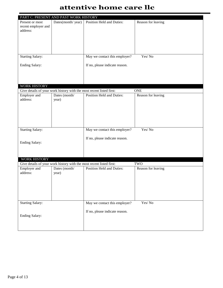### **attentive home care llc**

|                                                    | PART C: PRESENT AND PAST WORK HISTORY                                |                                  |                    |
|----------------------------------------------------|----------------------------------------------------------------------|----------------------------------|--------------------|
| Present or most<br>recent employer and<br>address: | Dates(month/year)                                                    | <b>Position Held and Duties:</b> | Reason for leaving |
| <b>Starting Salary:</b>                            |                                                                      | May we contact this employer?    | Yes/No             |
| <b>Ending Salary:</b>                              |                                                                      | If no, please indicate reason.   |                    |
| <b>WORK HISTORY</b>                                |                                                                      |                                  |                    |
|                                                    | Give details of your work history with the most recent listed first: |                                  | <b>ONE</b>         |
| Employer and<br>address:                           | Dates (month/<br>year)                                               | Position Held and Duties:        | Reason for leaving |
| <b>Starting Salary:</b>                            |                                                                      | May we contact this employer?    | Yes/No             |
| <b>Ending Salary:</b>                              |                                                                      | If no, please indicate reason.   |                    |
| WORK HISTORY                                       |                                                                      |                                  |                    |
|                                                    | Give details of your work history with the most recent listed first: |                                  | TWO                |
| Employer and<br>address:                           | Dates (month/<br>year)                                               | <b>Position Held and Duties:</b> | Reason for leaving |
| <b>Starting Salary:</b>                            |                                                                      | May we contact this employer?    | Yes/No             |
| <b>Ending Salary:</b>                              |                                                                      | If no, please indicate reason.   |                    |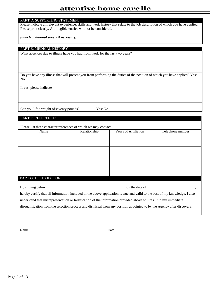#### PART D: SUPPORTING STATEMENT

Please indicate all relevant experience, skills and work history that relate to the job description of which you have applied. Please print clearly. All illegible entries will not be considered.

*(attach additional sheets if necessary)*

PART E: MEDICAL HISTORY

What absences due to illness have you had from work for the last two years?

Do you have any illness that will present you from performing the duties of the position of which you have applied? Yes/ No

If yes, please indicate

Can you lift a weight of seventy pounds? Yes/ No

#### PART F: REFERENCES

Please list three character references of which we may contact.

| Name                                                                                                                        | Relationship | <b>Years of Affiliation</b> | Telephone number |
|-----------------------------------------------------------------------------------------------------------------------------|--------------|-----------------------------|------------------|
|                                                                                                                             |              |                             |                  |
|                                                                                                                             |              |                             |                  |
|                                                                                                                             |              |                             |                  |
|                                                                                                                             |              |                             |                  |
|                                                                                                                             |              |                             |                  |
|                                                                                                                             |              |                             |                  |
|                                                                                                                             |              |                             |                  |
|                                                                                                                             |              |                             |                  |
|                                                                                                                             |              |                             |                  |
| PART G: DECLARATION                                                                                                         |              |                             |                  |
|                                                                                                                             |              | , on the date of            |                  |
|                                                                                                                             |              |                             |                  |
| hereby certify that all information included in the above application is true and valid to the best of my knowledge. I also |              |                             |                  |
| understand that misrepresentation or falsification of the information provided above will result in my immediate            |              |                             |                  |

disqualification from the selection process and dismissal from any position appointed to by the Agency after discovery.

Name: Date: Date: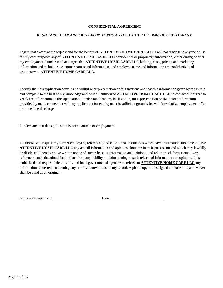#### **CONFIDENTIAL AGREEMENT**

#### *READ CAREFULLY AND SIGN BELOW IF YOU AGREE TO THESE TERMS OF EMPLOYMENT*

I agree that except at the request and for the benefit of **ATTENTIVE HOME CARE LLC.** I will not disclose to anyone or use for my own purposes any of **ATTENTIVE HOME CARE LLC** confidential or proprietary information, either during or after my employment. I understand and agree that **ATTENTIVE HOME CARE LLC** bidding, costs, pricing and marketing information and techniques, customer names and information, and employee name and information are confidential and proprietary to **ATTENTIVE HOME CARE LLC.**

I certify that this application contains no willful misrepresentation or falsifications and that this information given by me is true and complete to the best of my knowledge and belief. I authorized **ATTENTIVE HOME CARE LLC** to contact all sources to verify the information on this application. I understand that any falsification, misrepresentation or fraudulent information provided by me in connection with my application for employment is sufficient grounds for withdrawal of an employment offer or immediate discharge.

I understand that this application is not a contract of employment.

I authorize and request my former employers, references, and educational institutions which have information about me, to give **ATTENTIVE HOME CARE LLC** any and all information and opinions about me in their possession and which may lawfully be disclosed. I hereby waive written notice of such release of information and opinions, and release such former employers, references, and educational institutions from any liability or claim relating to such release of information and opinions. I also authorized and request federal, state, and local governmental agencies to release to **ATTENTIVE HOME CARE LLC** any information requested, concerning any criminal convictions on my record. A photocopy of this signed authorization and waiver shall be valid as an original.

| Signature of applicant:<br>Jate <sup>.</sup> |  |
|----------------------------------------------|--|
|----------------------------------------------|--|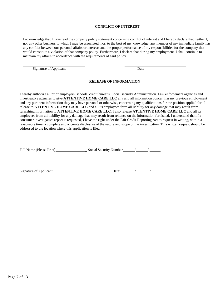#### **CONFLICT OF INTEREST**

I acknowledge that I have read the company policy statement concerning conflict of interest and I hereby declare that neither I, nor any other business to which I may be associated, nor, to the best of my knowledge, any member of my immediate family has any conflict between our personal affairs or interests and the proper performance of my responsibilities for the company that would constitute a violation of that company policy. Furthermore, I declare that during my employment, I shall continue to maintain my affairs in accordance with the requirements of said policy.

Signature of Applicant Date

#### **RELEASE OF INFORMATION**

I hereby authorize all prior employers, schools, credit bureaus, Social security Administration. Law enforcement agencies and investigative agencies to give **ATTENTIVE HOME CARE LLC** any and all information concerning my previous employment and any pertinent information they may have personal or otherwise, concerning my qualifications for the position applied for. I release to **ATTENTIVE HOME CARE LLC** and all its employees form all liability for any damage that may result from furnishing information to **ATTENTIVE HOME CARE LLC.** I also release **ATTENTIVE HOME CARE LLC** and all its employees from all liability for any damage that may result from reliance on the information furnished. I understand that if a consumer investigative report is requested, I have the right under the Fair Credit Reporting Act to request in writing, within a reasonable time, a complete and accurate disclosure of the nature and scope of the investigation. This written request should be addressed to the location where this application is filed.

| Full Name (Please Print) | Social Security Number |  |
|--------------------------|------------------------|--|
|                          |                        |  |
|                          |                        |  |

| Signature of Applicant | )ate: |  |
|------------------------|-------|--|
|                        |       |  |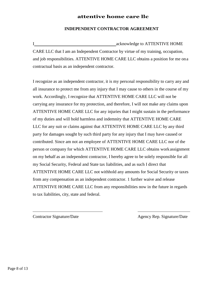#### **attentive home care llc**

#### **INDEPENDENT CONTRACTOR AGREEMENT**

I acknowledge to ATTENTIVE HOME CARE LLC that I am an Independent Contractor by virtue of my training, occupation, and job responsibilities. ATTENTIVE HOME CARE LLC obtains a position for me ona contractual basis as an independent contractor.

I recognize as an independent contractor, it is my personal responsibility to carry any and all insurance to protect me from any injury that I may cause to others in the course of my work. Accordingly, I recognize that ATTENTIVE HOME CARE LLC will not be carrying any insurance for my protection, and therefore, I will not make any claims upon ATTENTIVE HOME CARE LLC for any injuries that I might sustain in the performance of my duties and will hold harmless and indemnity that ATTENTIVE HOME CARE LLC for any suit or claims against that ATTENTIVE HOME CARE LLC by any third party for damages sought by such third party for any injury that I may have caused or contributed. Since am not an employee of ATTENTIVE HOME CARE LLC nor of the person or company for which ATTENTIVE HOME CARE LLC obtains workassignment on my behalf as an independent contractor, I hereby agree to be solely responsible for all my Social Security, Federal and State tax liabilities, and as such I direct that ATTENTIVE HOME CARE LLC not withhold any amounts for Social Security or taxes from any compensation as an independent contractor. 1 further waive and release ATTENTIVE HOME CARE LLC from any responsibilities now in the future in regards to tax liabilities, city, state and federal.

Contractor Signature/Date Agency Rep. Signature/Date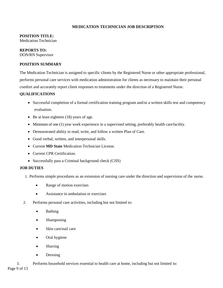#### **MEDICATION TECHNICIAN JOB DESCRIPTION**

#### **POSITION TITLE:**

Medication Technician

#### **REPORTS TO:**

DON/RN Supervisor

#### **POSITION SUMMARY**

The Medication Technician is assigned to specific clients by the Registered Nurse or other appropriate professional, performs personal care services with medication administration for clients as necessary to maintain their personal comfort and accurately report client responses to treatments under the direction of a Registered Nurse.

#### **QUALIFICATIONS**

- Successful completion of a formal certification training program and/or a written skills test and competency evaluation.
- Be at least eighteen (18) years of age.
- Minimum of one (1) year work experience in a supervised setting, preferably health carefacility.
- Demonstrated ability to read, write, and follow a written Plan of Care.
- Good verbal, written, and interpersonal skills.
- Current **MD State** Medication Technician License.
- Current CPR Certification.
- Successfully pass a Criminal background check (CJIS)

#### **JOB DUTIES**

- 1. Performs simple procedures as an extension of nursing care under the direction and supervision of the nurse.
	- Range of motion exercises
	- Assistance in ambulation or exercises
- 2. Performs personal care activities, including but not limited to:
	- **Bathing**
	- Shampooing
	- Skin care/nail care
	- Oral hygiene
	- Shaving
	- **Dressing**
- 3. Performs household services essential to health care at home, including but not limited to: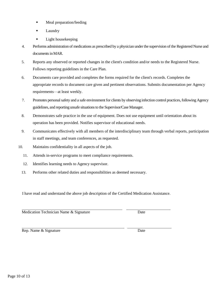Page 10 of 13

- Meal preparation/feeding
- Laundry
- Light housekeeping
- 4. Performs administration of medications as prescribed by a physician underthe supervision of the Registered Nurse and documents inMAR.
- 5. Reports any observed or reported changes in the client's condition and/or needs to the Registered Nurse. Follows reporting guidelines in the Care Plan.
- 6. Documents care provided and completes the forms required for the client's records. Completes the appropriate records to document care given and pertinent observations. Submits documentation per Agency requirements—at least weekly.
- 7. Promotes personal safety and a safe environment for clients by observing infection control practices, following Agency guidelines, and reporting unsafe situations to the Supervisor/Case Manager.
- 8. Demonstrates safe practice in the use of equipment. Does not use equipment until orientation about its operation has been provided. Notifies supervisor of educational needs.
- 9. Communicates effectively with all members of the interdisciplinary team through verbal reports, participation in staff meetings, and team conferences, as requested.
- 10. Maintains confidentiality in all aspects of the job.
	- 11. Attends in-service programs to meet compliance requirements.
	- 12. Identifies learning needs to Agency supervisor.
	- 13. Performs other related duties and responsibilities as deemed necessary.

I have read and understand the above job description of the Certified Medication Assistance.

Medication Technician Name & Signature Date

Rep. Name & Signature Date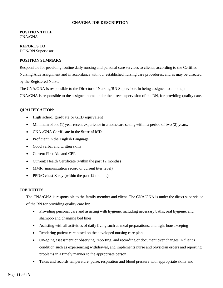#### **CNA/GNA JOB DESCRIPTION**

#### **POSITION TITLE**: CNA/GNA

#### **REPORTS TO** DON/RN Supervisor

#### **POSITION SUMMARY**

Responsible for providing routine daily nursing and personal care services to clients, according to the Certified Nursing Aide assignment and in accordance with our established nursing care procedures, and as may be directed by the Registered Nurse.

The CNA/GNA is responsible to the Director of Nursing/RN Supervisor. In being assigned to a home, the CNA/GNA is responsible to the assigned home under the direct supervision of the RN, for providing quality care.

#### **QUALIFICATION**:

- High school graduate or GED equivalent
- Minimum of one (1) year recent experience in a homecare setting within a period of two (2) years.
- CNA /GNA Certificate in the **State of MD**
- Proficient in the English Language
- Good verbal and written skills
- Current First Aid and CPR
- Current: Health Certificate (within the past 12 months)
- MMR (immunization record or current titer level)
- PPD/C chest X-ray (within the past 12 months)

#### **JOB DUTIES**

The CNA/GNA is responsible to the family member and client. The CNA/GNA is under the direct supervision of the RN for providing quality care by:

- Providing personal care and assisting with hygiene, including necessary baths, oral hygiene, and shampoo and changing bed lines.
- Assisting with all activities of daily living such as meal preparations, and light housekeeping
- Rendering patient care based on the developed nursing care plan
- On-going assessment or observing, reporting, and recording or document over changes in client's condition such as experiencing withdrawal, and implements nurse and physician orders and reporting problems in a timely manner to the appropriate person
- Takes and records temperature, pulse, respiration and blood pressure with appropriate skills and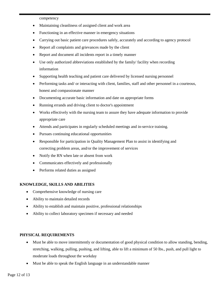competency

- Maintaining cleanliness of assigned client and work area
- Functioning in an effective manner in emergency situations
- Carrying out basic patient care procedures safely, accurately and according to agency protocol
- Report all complaints and grievances made by the client
- Report and document all incidents report in a timely manner
- Use only authorized abbreviations established by the family/ facility when recording information
- Supporting health teaching and patient care delivered by licensed nursing personnel
- Performing tasks and/ or interacting with client, families, staff and other personnel in a courteous, honest and compassionate manner
- Documenting accurate basic information and date on appropriate forms
- Running errands and driving client to doctor's appointment
- Works effectively with the nursing team to assure they have adequate information to provide appropriate care
- Attends and participates in regularly scheduled meetings and in-service training.
- Pursues continuing educational opportunities
- Responsible for participation in Quality Management Plan to assist in identifying and correcting problem areas, and/or the improvement of services
- Notify the RN when late or absent from work
- Communicates effectively and professionally
- Performs related duties as assigned

#### **KNOWLEDGE, SKILLS AND ABILITIES**

- Comprehensive knowledge of nursing care
- Ability to maintain detailed records
- Ability to establish and maintain positive, professional relationships
- Ability to collect laboratory specimen if necessary and needed

#### **PHYSICAL REQUIREMENTS**

- Must be able to move intermittently or documentation of good physical condition to allow standing, bending, stretching, walking, pulling, pushing, and lifting, able to lift a minimum of 50 lbs., push, and pull light to moderate loads throughout the workday
- Must be able to speak the English language in an understandable manner